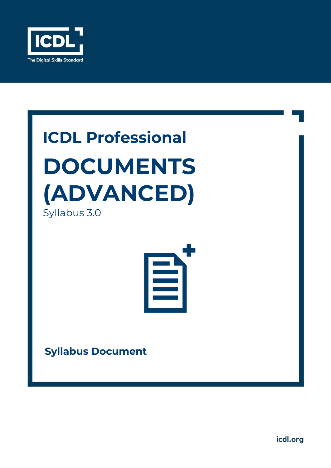

# **ICDL Professional DOCUMENTS (ADVANCED)** Syllabus 3.0



**Syllabus Document**

icdl.org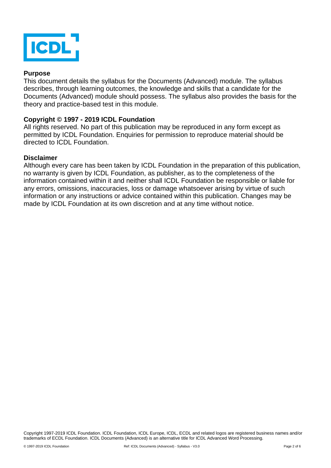

#### **Purpose**

This document details the syllabus for the Documents (Advanced) module. The syllabus describes, through learning outcomes, the knowledge and skills that a candidate for the Documents (Advanced) module should possess. The syllabus also provides the basis for the theory and practice-based test in this module.

#### **Copyright © 1997 - 2019 ICDL Foundation**

All rights reserved. No part of this publication may be reproduced in any form except as permitted by ICDL Foundation. Enquiries for permission to reproduce material should be directed to ICDL Foundation.

#### **Disclaimer**

Although every care has been taken by ICDL Foundation in the preparation of this publication, no warranty is given by ICDL Foundation, as publisher, as to the completeness of the information contained within it and neither shall ICDL Foundation be responsible or liable for any errors, omissions, inaccuracies, loss or damage whatsoever arising by virtue of such information or any instructions or advice contained within this publication. Changes may be made by ICDL Foundation at its own discretion and at any time without notice.

Copyright 1997-2019 ICDL Foundation. ICDL Foundation, ICDL Europe, ICDL, ECDL and related logos are registered business names and/or trademarks of ECDL Foundation. ICDL Documents (Advanced) is an alternative title for ICDL Advanced Word Processing.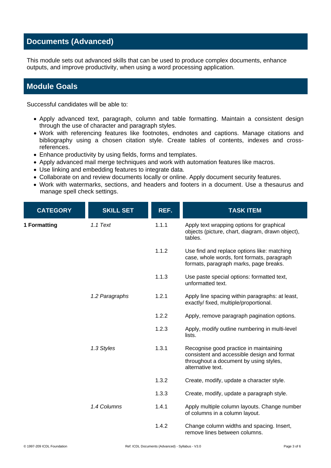## **Documents (Advanced)**

This module sets out advanced skills that can be used to produce complex documents, enhance outputs, and improve productivity, when using a word processing application.

### **Module Goals**

Successful candidates will be able to:

- Apply advanced text, paragraph, column and table formatting. Maintain a consistent design through the use of character and paragraph styles.
- Work with referencing features like footnotes, endnotes and captions. Manage citations and bibliography using a chosen citation style. Create tables of contents, indexes and crossreferences.
- Enhance productivity by using fields, forms and templates.
- Apply advanced mail merge techniques and work with automation features like macros.
- Use linking and embedding features to integrate data.
- Collaborate on and review documents locally or online. Apply document security features.
- Work with watermarks, sections, and headers and footers in a document. Use a thesaurus and manage spell check settings.

| <b>CATEGORY</b> | <b>SKILL SET</b> | REF.  | <b>TASK ITEM</b>                                                                                                                                     |
|-----------------|------------------|-------|------------------------------------------------------------------------------------------------------------------------------------------------------|
| 1 Formatting    | 1.1 Text         | 1.1.1 | Apply text wrapping options for graphical<br>objects (picture, chart, diagram, drawn object),<br>tables.                                             |
|                 |                  | 1.1.2 | Use find and replace options like: matching<br>case, whole words, font formats, paragraph<br>formats, paragraph marks, page breaks.                  |
|                 |                  | 1.1.3 | Use paste special options: formatted text,<br>unformatted text.                                                                                      |
|                 | 1.2 Paragraphs   | 1.2.1 | Apply line spacing within paragraphs: at least,<br>exactly/fixed, multiple/proportional.                                                             |
|                 |                  | 1.2.2 | Apply, remove paragraph pagination options.                                                                                                          |
|                 |                  | 1.2.3 | Apply, modify outline numbering in multi-level<br>lists.                                                                                             |
|                 | 1.3 Styles       | 1.3.1 | Recognise good practice in maintaining<br>consistent and accessible design and format<br>throughout a document by using styles,<br>alternative text. |
|                 |                  | 1.3.2 | Create, modify, update a character style.                                                                                                            |
|                 |                  | 1.3.3 | Create, modify, update a paragraph style.                                                                                                            |
|                 | 1.4 Columns      | 1.4.1 | Apply multiple column layouts. Change number<br>of columns in a column layout.                                                                       |
|                 |                  | 1.4.2 | Change column widths and spacing. Insert,<br>remove lines between columns.                                                                           |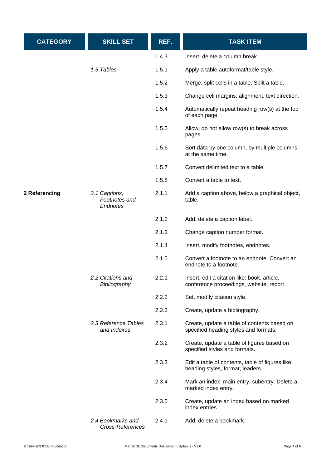| <b>CATEGORY</b> | <b>SKILL SET</b>                           | REF.  | <b>TASK ITEM</b>                                                                         |
|-----------------|--------------------------------------------|-------|------------------------------------------------------------------------------------------|
|                 |                                            | 1.4.3 | Insert, delete a column break.                                                           |
|                 | 1.5 Tables                                 | 1.5.1 | Apply a table autoformat/table style.                                                    |
|                 |                                            | 1.5.2 | Merge, split cells in a table. Split a table.                                            |
|                 |                                            | 1.5.3 | Change cell margins, alignment, text direction.                                          |
|                 |                                            | 1.5.4 | Automatically repeat heading row(s) at the top<br>of each page.                          |
|                 |                                            | 1.5.5 | Allow, do not allow row(s) to break across<br>pages.                                     |
|                 |                                            | 1.5.6 | Sort data by one column, by multiple columns<br>at the same time.                        |
|                 |                                            | 1.5.7 | Convert delimited text to a table.                                                       |
|                 |                                            | 1.5.8 | Convert a table to text.                                                                 |
| 2 Referencing   | 2.1 Captions,<br>Footnotes and<br>Endnotes | 2.1.1 | Add a caption above, below a graphical object,<br>table.                                 |
|                 |                                            | 2.1.2 | Add, delete a caption label.                                                             |
|                 |                                            | 2.1.3 | Change caption number format.                                                            |
|                 |                                            | 2.1.4 | Insert, modify footnotes, endnotes.                                                      |
|                 |                                            | 2.1.5 | Convert a footnote to an endnote. Convert an<br>endnote to a footnote.                   |
|                 | 2.2 Citations and<br>Bibliography          | 2.2.1 | Insert, edit a citation like: book, article,<br>conference proceedings, website, report. |
|                 |                                            | 2.2.2 | Set, modify citation style.                                                              |
|                 |                                            | 2.2.3 | Create, update a bibliography.                                                           |
|                 | 2.3 Reference Tables<br>and Indexes        | 2.3.1 | Create, update a table of contents based on<br>specified heading styles and formats.     |
|                 |                                            | 2.3.2 | Create, update a table of figures based on<br>specified styles and formats.              |
|                 |                                            | 2.3.3 | Edit a table of contents, table of figures like:<br>heading styles, format, leaders.     |
|                 |                                            | 2.3.4 | Mark an index: main entry, subentry. Delete a<br>marked index entry.                     |
|                 |                                            | 2.3.5 | Create, update an index based on marked<br>index entries.                                |
|                 | 2.4 Bookmarks and<br>Cross-References      | 2.4.1 | Add, delete a bookmark.                                                                  |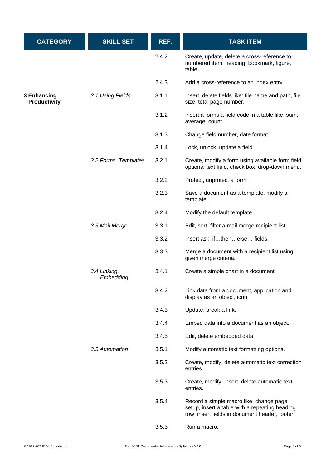| <b>CATEGORY</b>                    | <b>SKILL SET</b>          | REF.  | <b>TASK ITEM</b>                                                                                                                            |
|------------------------------------|---------------------------|-------|---------------------------------------------------------------------------------------------------------------------------------------------|
|                                    |                           | 2.4.2 | Create, update, delete a cross-reference to:<br>numbered item, heading, bookmark, figure,<br>table.                                         |
|                                    |                           | 2.4.3 | Add a cross-reference to an index entry.                                                                                                    |
| 3 Enhancing<br><b>Productivity</b> | 3.1 Using Fields          | 3.1.1 | Insert, delete fields like: file name and path, file<br>size, total page number.                                                            |
|                                    |                           | 3.1.2 | Insert a formula field code in a table like: sum,<br>average, count.                                                                        |
|                                    |                           | 3.1.3 | Change field number, date format.                                                                                                           |
|                                    |                           | 3.1.4 | Lock, unlock, update a field.                                                                                                               |
|                                    | 3.2 Forms, Templates      | 3.2.1 | Create, modify a form using available form field<br>options: text field, check box, drop-down menu.                                         |
|                                    |                           | 3.2.2 | Protect, unprotect a form.                                                                                                                  |
|                                    |                           | 3.2.3 | Save a document as a template, modify a<br>template.                                                                                        |
|                                    |                           | 3.2.4 | Modify the default template.                                                                                                                |
|                                    | 3.3 Mail Merge            | 3.3.1 | Edit, sort, filter a mail merge recipient list.                                                                                             |
|                                    |                           | 3.3.2 | Insert ask, ifthenelse fields.                                                                                                              |
|                                    |                           | 3.3.3 | Merge a document with a recipient list using<br>given merge criteria.                                                                       |
|                                    | 3.4 Linking,<br>Embedding | 3.4.1 | Create a simple chart in a document.                                                                                                        |
|                                    |                           | 3.4.2 | Link data from a document, application and<br>display as an object, icon.                                                                   |
|                                    |                           | 3.4.3 | Update, break a link.                                                                                                                       |
|                                    |                           | 3.4.4 | Embed data into a document as an object.                                                                                                    |
|                                    |                           | 3.4.5 | Edit, delete embedded data.                                                                                                                 |
|                                    | 3.5 Automation            | 3.5.1 | Modify automatic text formatting options.                                                                                                   |
|                                    |                           | 3.5.2 | Create, modify, delete automatic text correction<br>entries.                                                                                |
|                                    |                           | 3.5.3 | Create, modify, insert, delete automatic text<br>entries.                                                                                   |
|                                    |                           | 3.5.4 | Record a simple macro like: change page<br>setup, insert a table with a repeating heading<br>row, insert fields in document header, footer. |
|                                    |                           | 3.5.5 | Run a macro.                                                                                                                                |